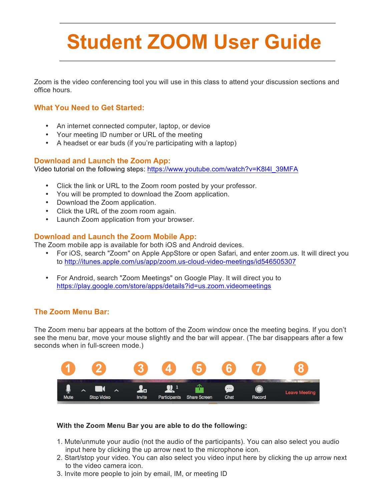# **Student ZOOM User Guide**

Zoom is the video conferencing tool you will use in this class to attend your discussion sections and office hours.

# **What You Need to Get Started:**

- An internet connected computer, laptop, or device
- Your meeting ID number or URL of the meeting
- A headset or ear buds (if you're participating with a laptop)

#### **Download and Launch the Zoom App:**

Video tutorial on the following steps: [https://www.youtube.com/watch?v=K8l4l\\_39MFA](https://www.youtube.com/watch?v=K8l4l_39MFA)

- Click the link or URL to the Zoom room posted by your professor.
- You will be prompted to download the Zoom application.
- Download the Zoom application.
- Click the URL of the zoom room again.
- Launch Zoom application from your browser.

#### **Download and Launch the Zoom Mobile App:**

The Zoom mobile app is available for both iOS and Android devices.

- For iOS, search "Zoom" on Apple AppStore or open Safari, and enter zoom.us. It will direct you to<http://itunes.apple.com/us/app/zoom.us-cloud-video-meetings/id546505307>
- For Android, search "Zoom Meetings" on Google Play. It will direct you to <https://play.google.com/store/apps/details?id=us.zoom.videomeetings>

#### **The Zoom Menu Bar:**

The Zoom menu bar appears at the bottom of the Zoom window once the meeting begins. If you don't see the menu bar, move your mouse slightly and the bar will appear. (The bar disappears after a few seconds when in full-screen mode.)



#### **With the Zoom Menu Bar you are able to do the following:**

- 1. Mute/unmute your audio (not the audio of the participants). You can also select you audio input here by clicking the up arrow next to the microphone icon.
- 2. Start/stop your video. You can also select you video input here by clicking the up arrow next to the video camera icon.
- 3. Invite more people to join by email, IM, or meeting ID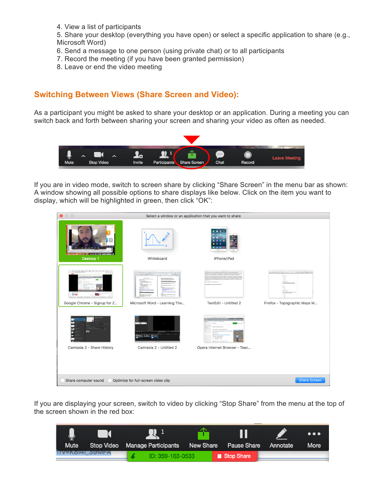4. View a list of participants

5. Share your desktop (everything you have open) or select a specific application to share (e.g., Microsoft Word)

- 6. Send a message to one person (using private chat) or to all participants
- 7. Record the meeting (if you have been granted permission)
- 8. Leave or end the video meeting

### **Switching Between Views (Share Screen and Video):**

As a participant you might be asked to share your desktop or an application. During a meeting you can switch back and forth between sharing your screen and sharing your video as often as needed.



If you are in video mode, switch to screen share by clicking "Share Screen" in the menu bar as shown: A window showing all possible options to share displays like below. Click on the item you want to display, which will be highlighted in green, then click "OK":



If you are displaying your screen, switch to video by clicking "Stop Share" from the menu at the top of the screen shown in the red box: